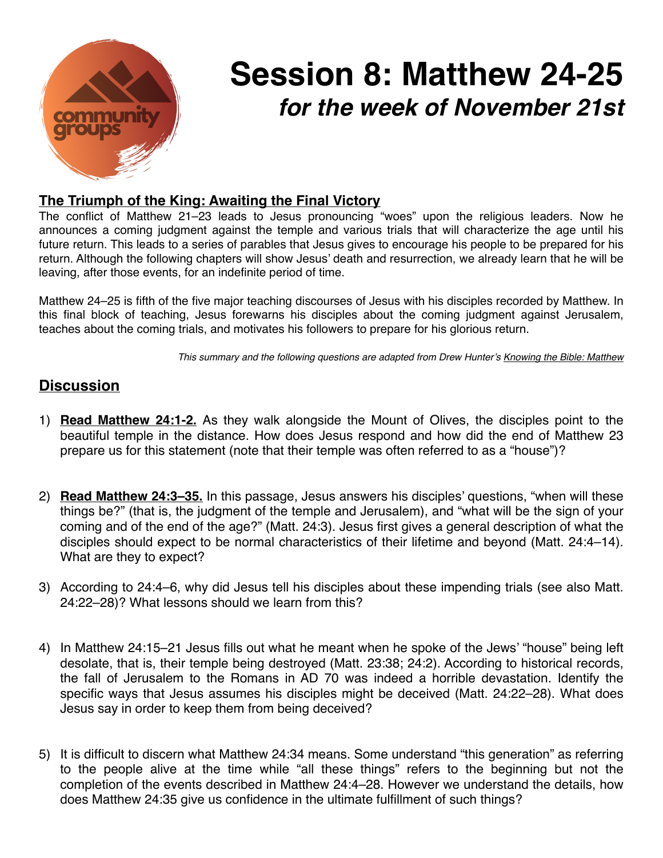

## **Session 8: Matthew 24-25** *for the week of November 21st*

## **The Triumph of the King: Awaiting the Final Victory**

The conflict of Matthew 21–23 leads to Jesus pronouncing "woes" upon the religious leaders. Now he announces a coming judgment against the temple and various trials that will characterize the age until his future return. This leads to a series of parables that Jesus gives to encourage his people to be prepared for his return. Although the following chapters will show Jesus' death and resurrection, we already learn that he will be leaving, after those events, for an indefinite period of time.

Matthew 24–25 is fifth of the five major teaching discourses of Jesus with his disciples recorded by Matthew. In this final block of teaching, Jesus forewarns his disciples about the coming judgment against Jerusalem, teaches about the coming trials, and motivates his followers to prepare for his glorious return.

*This summary and the following questions are adapted from Drew Hunter's Knowing the Bible: Matthew*

## **Discussion**

- 1) **Read Matthew 24:1-2.** As they walk alongside the Mount of Olives, the disciples point to the beautiful temple in the distance. How does Jesus respond and how did the end of Matthew 23 prepare us for this statement (note that their temple was often referred to as a "house")?
- 2) **Read Matthew 24:3–35.** In this passage, Jesus answers his disciples' questions, "when will these things be?" (that is, the judgment of the temple and Jerusalem), and "what will be the sign of your coming and of the end of the age?" (Matt. 24:3). Jesus first gives a general description of what the disciples should expect to be normal characteristics of their lifetime and beyond (Matt. 24:4–14). What are they to expect?
- 3) According to 24:4–6, why did Jesus tell his disciples about these impending trials (see also Matt. 24:22–28)? What lessons should we learn from this?
- 4) In Matthew 24:15–21 Jesus fills out what he meant when he spoke of the Jews' "house" being left desolate, that is, their temple being destroyed (Matt. 23:38; 24:2). According to historical records, the fall of Jerusalem to the Romans in AD 70 was indeed a horrible devastation. Identify the specific ways that Jesus assumes his disciples might be deceived (Matt. 24:22–28). What does Jesus say in order to keep them from being deceived?
- 5) It is difficult to discern what Matthew 24:34 means. Some understand "this generation" as referring to the people alive at the time while "all these things" refers to the beginning but not the completion of the events described in Matthew 24:4–28. However we understand the details, how does Matthew 24:35 give us confidence in the ultimate fulfillment of such things?